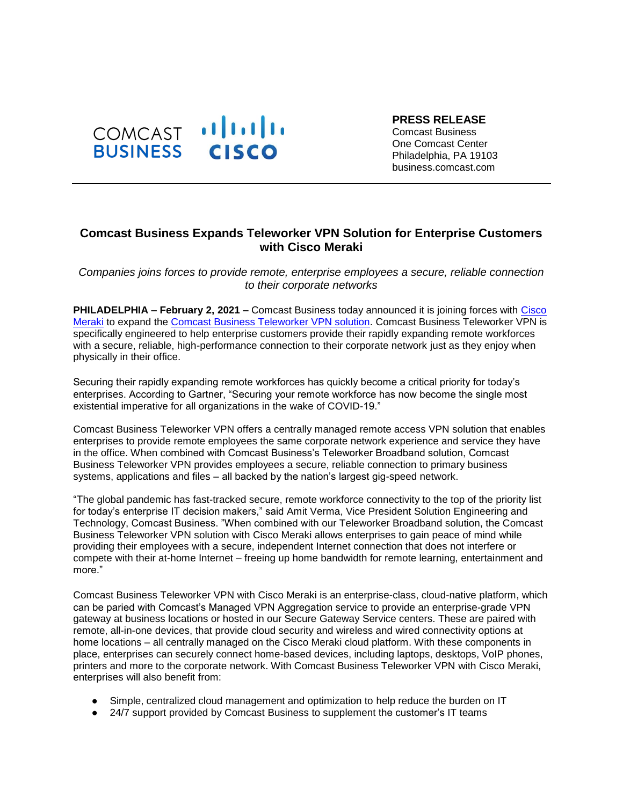

**PRESS RELEASE** Comcast Business One Comcast Center Philadelphia, PA 19103 business.comcast.com

## **Comcast Business Expands Teleworker VPN Solution for Enterprise Customers with Cisco Meraki**

*Companies joins forces to provide remote, enterprise employees a secure, reliable connection to their corporate networks*

**PHILADELPHIA – February 2, 2021 –** Comcast Business today announced it is joining forces with [Cisco](https://meraki.cisco.com/)  [Meraki](https://meraki.cisco.com/) to expand the [Comcast Business Teleworker VPN solution.](https://business.comcast.com/enterprise/products-services/managed-services/managed-connectivity) Comcast Business Teleworker VPN is specifically engineered to help enterprise customers provide their rapidly expanding remote workforces with a secure, reliable, high-performance connection to their corporate network just as they enjoy when physically in their office.

Securing their rapidly expanding remote workforces has quickly become a critical priority for today's enterprises. According to Gartner, "Securing your remote workforce has now become the single most existential imperative for all organizations in the wake of COVID-19."

Comcast Business Teleworker VPN offers a centrally managed remote access VPN solution that enables enterprises to provide remote employees the same corporate network experience and service they have in the office. When combined with Comcast Business's Teleworker Broadband solution, Comcast Business Teleworker VPN provides employees a secure, reliable connection to primary business systems, applications and files – all backed by the nation's largest gig-speed network.

"The global pandemic has fast-tracked secure, remote workforce connectivity to the top of the priority list for today's enterprise IT decision makers," said Amit Verma, Vice President Solution Engineering and Technology, Comcast Business. "When combined with our Teleworker Broadband solution, the Comcast Business Teleworker VPN solution with Cisco Meraki allows enterprises to gain peace of mind while providing their employees with a secure, independent Internet connection that does not interfere or compete with their at-home Internet – freeing up home bandwidth for remote learning, entertainment and more."

Comcast Business Teleworker VPN with Cisco Meraki is an enterprise-class, cloud-native platform, which can be paried with Comcast's Managed VPN Aggregation service to provide an enterprise-grade VPN gateway at business locations or hosted in our Secure Gateway Service centers. These are paired with remote, all-in-one devices, that provide cloud security and wireless and wired connectivity options at home locations – all centrally managed on the Cisco Meraki cloud platform. With these components in place, enterprises can securely connect home-based devices, including laptops, desktops, VoIP phones, printers and more to the corporate network. With Comcast Business Teleworker VPN with Cisco Meraki, enterprises will also benefit from:

- Simple, centralized cloud management and optimization to help reduce the burden on IT
- 24/7 support provided by Comcast Business to supplement the customer's IT teams